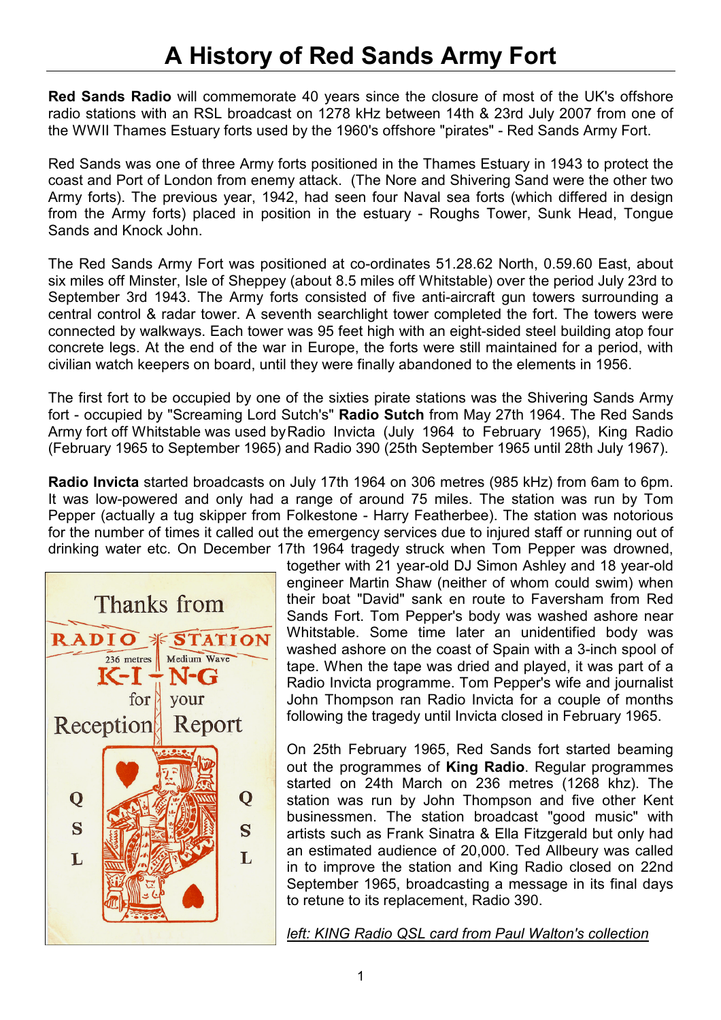## A History of Red Sands Army Fort

Red Sands Radio will commemorate 40 years since the closure of most of the UK's offshore radio stations with an RSL broadcast on 1278 kHz between 14th & 23rd July 2007 from one of the WWII Thames Estuary forts used by the 1960's offshore "pirates" - Red Sands Army Fort.

Red Sands was one of three Army forts positioned in the Thames Estuary in 1943 to protect the coast and Port of London from enemy attack. (The Nore and Shivering Sand were the other two Army forts). The previous year, 1942, had seen four Naval sea forts (which differed in design from the Army forts) placed in position in the estuary - Roughs Tower, Sunk Head, Tongue Sands and Knock John.

The Red Sands Army Fort was positioned at co-ordinates 51.28.62 North, 0.59.60 East, about six miles off Minster, Isle of Sheppey (about 8.5 miles off Whitstable) over the period July 23rd to September 3rd 1943. The Army forts consisted of five anti-aircraft gun towers surrounding a central control & radar tower. A seventh searchlight tower completed the fort. The towers were connected by walkways. Each tower was 95 feet high with an eight-sided steel building atop four concrete legs. At the end of the war in Europe, the forts were still maintained for a period, with civilian watch keepers on board, until they were finally abandoned to the elements in 1956.

The first fort to be occupied by one of the sixties pirate stations was the Shivering Sands Army fort - occupied by "Screaming Lord Sutch's" Radio Sutch from May 27th 1964. The Red Sands Army fort off Whitstable was used by Radio Invicta (July 1964 to February 1965), King Radio (February 1965 to September 1965) and Radio 390 (25th September 1965 until 28th July 1967).

Radio Invicta started broadcasts on July 17th 1964 on 306 metres (985 kHz) from 6am to 6pm. It was low-powered and only had a range of around 75 miles. The station was run by Tom Pepper (actually a tug skipper from Folkestone - Harry Featherbee). The station was notorious for the number of times it called out the emergency services due to injured staff or running out of drinking water etc. On December 17th 1964 tragedy struck when Tom Pepper was drowned,



together with 21 year-old DJ Simon Ashley and 18 year-old engineer Martin Shaw (neither of whom could swim) when their boat "David" sank en route to Faversham from Red Sands Fort. Tom Pepper's body was washed ashore near Whitstable. Some time later an unidentified body was washed ashore on the coast of Spain with a 3-inch spool of tape. When the tape was dried and played, it was part of a Radio Invicta programme. Tom Pepper's wife and journalist John Thompson ran Radio Invicta for a couple of months following the tragedy until Invicta closed in February 1965.

On 25th February 1965, Red Sands fort started beaming out the programmes of King Radio. Regular programmes started on 24th March on 236 metres (1268 khz). The station was run by John Thompson and five other Kent businessmen. The station broadcast "good music" with artists such as Frank Sinatra & Ella Fitzgerald but only had an estimated audience of 20,000. Ted Allbeury was called in to improve the station and King Radio closed on 22nd September 1965, broadcasting a message in its final days to retune to its replacement, Radio 390.

left: KING Radio QSL card from Paul Walton's collection